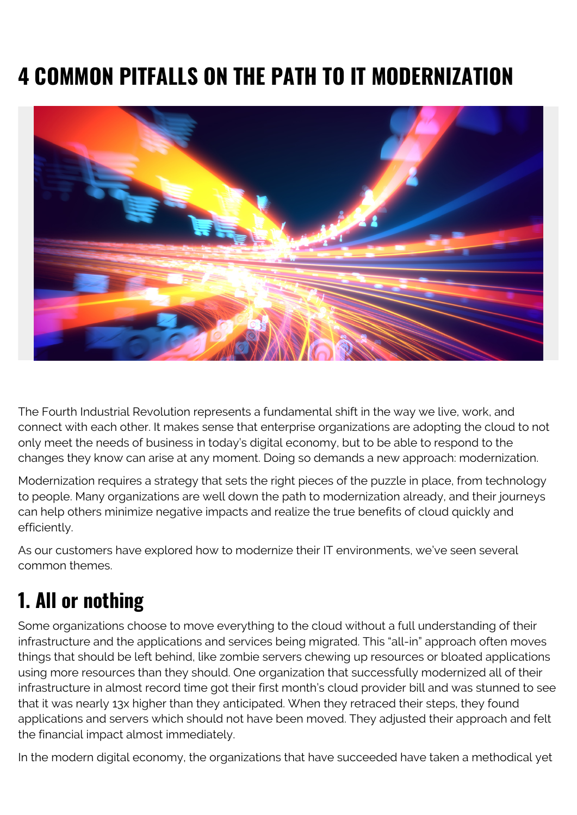# **4 COMMON PITFALLS ON THE PATH TO IT MODERNIZATION**



The Fourth Industrial Revolution represents a fundamental shift in the way we live, work, and connect with each other. It makes sense that enterprise organizations are adopting the cloud to not only meet the needs of business in today's digital economy, but to be able to respond to the changes they know can arise at any moment. Doing so demands a new approach: modernization.

Modernization requires a strategy that sets the right pieces of the puzzle in place, from technology to people. Many organizations are well down the path to modernization already, and their journeys can help others minimize negative impacts and realize the true benefits of cloud quickly and efficiently.

As our customers have explored how to modernize their IT environments, we've seen several common themes.

## **1. All or nothing**

Some organizations choose to move everything to the cloud without a full understanding of their infrastructure and the applications and services being migrated. This "all-in" approach often moves things that should be left behind, like zombie servers chewing up resources or bloated applications using more resources than they should. One organization that successfully modernized all of their infrastructure in almost record time got their first month's cloud provider bill and was stunned to see that it was nearly 13x higher than they anticipated. When they retraced their steps, they found applications and servers which should not have been moved. They adjusted their approach and felt the financial impact almost immediately.

In the modern digital economy, the organizations that have succeeded have taken a methodical yet